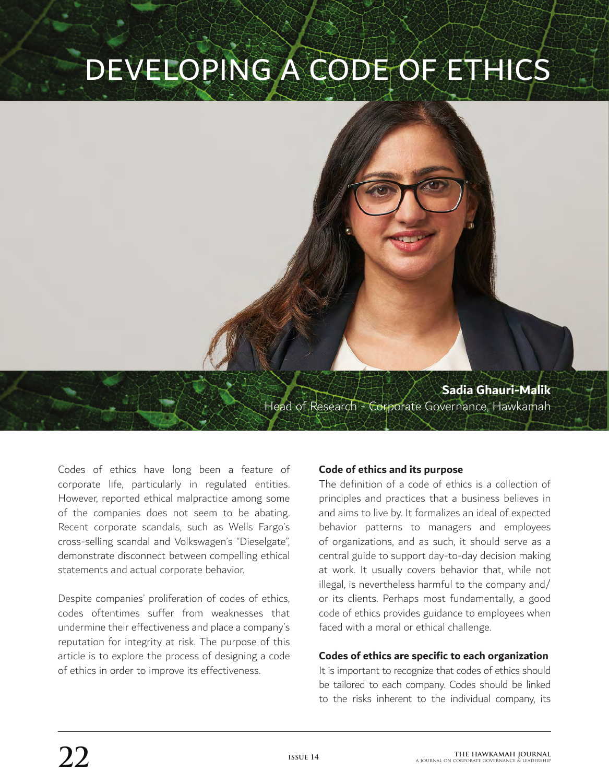# DEVELOPING A CODE OF ETHICS

**Sadia Ghauri-Malik**  Head of Research - Corporate Governance, Hawkamah

> Codes of ethics have long been a feature of corporate life, particularly in regulated entities. However, reported ethical malpractice among some of the companies does not seem to be abating. Recent corporate scandals, such as Wells Fargo's cross-selling scandal and Volkswagen's "Dieselgate", demonstrate disconnect between compelling ethical statements and actual corporate behavior.

> Despite companies' proliferation of codes of ethics, codes oftentimes suffer from weaknesses that undermine their effectiveness and place a company's reputation for integrity at risk. The purpose of this article is to explore the process of designing a code of ethics in order to improve its effectiveness.

# **Code of ethics and its purpose**

The definition of a code of ethics is a collection of principles and practices that a business believes in and aims to live by. It formalizes an ideal of expected behavior patterns to managers and employees of organizations, and as such, it should serve as a central guide to support day-to-day decision making at work. It usually covers behavior that, while not illegal, is nevertheless harmful to the company and/ or its clients. Perhaps most fundamentally, a good code of ethics provides guidance to employees when faced with a moral or ethical challenge.

#### **Codes of ethics are specific to each organization**

It is important to recognize that codes of ethics should be tailored to each company. Codes should be linked to the risks inherent to the individual company, its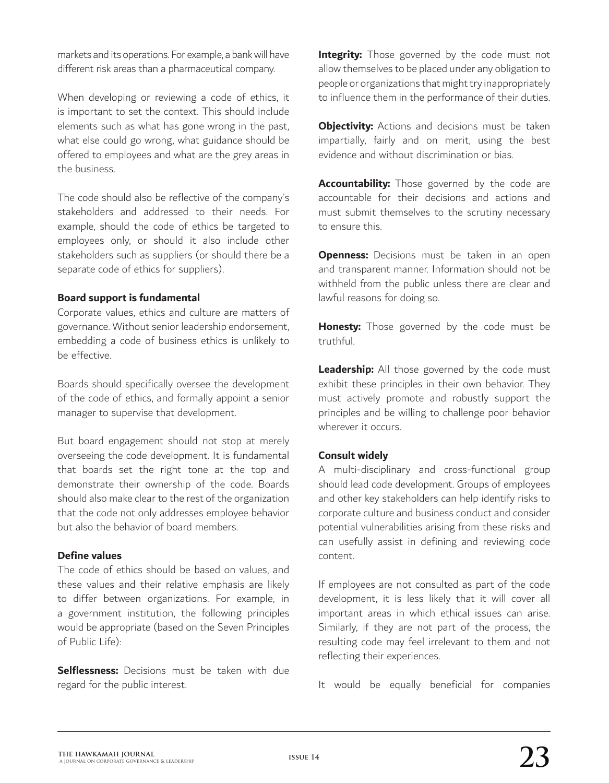markets and its operations. For example, a bank will have different risk areas than a pharmaceutical company.

When developing or reviewing a code of ethics, it is important to set the context. This should include elements such as what has gone wrong in the past, what else could go wrong, what guidance should be offered to employees and what are the grey areas in the business.

The code should also be reflective of the company's stakeholders and addressed to their needs. For example, should the code of ethics be targeted to employees only, or should it also include other stakeholders such as suppliers (or should there be a separate code of ethics for suppliers).

### **Board support is fundamental**

Corporate values, ethics and culture are matters of governance. Without senior leadership endorsement, embedding a code of business ethics is unlikely to be effective.

Boards should specifically oversee the development of the code of ethics, and formally appoint a senior manager to supervise that development.

But board engagement should not stop at merely overseeing the code development. It is fundamental that boards set the right tone at the top and demonstrate their ownership of the code. Boards should also make clear to the rest of the organization that the code not only addresses employee behavior but also the behavior of board members.

## **Define values**

The code of ethics should be based on values, and these values and their relative emphasis are likely to differ between organizations. For example, in a government institution, the following principles would be appropriate (based on the Seven Principles of Public Life):

**Selflessness:** Decisions must be taken with due regard for the public interest.

**Integrity:** Those governed by the code must not allow themselves to be placed under any obligation to people or organizations that might try inappropriately to influence them in the performance of their duties.

**Objectivity:** Actions and decisions must be taken impartially, fairly and on merit, using the best evidence and without discrimination or bias.

**Accountability:** Those governed by the code are accountable for their decisions and actions and must submit themselves to the scrutiny necessary to ensure this.

**Openness:** Decisions must be taken in an open and transparent manner. Information should not be withheld from the public unless there are clear and lawful reasons for doing so.

**Honesty:** Those governed by the code must be truthful.

**Leadership:** All those governed by the code must exhibit these principles in their own behavior. They must actively promote and robustly support the principles and be willing to challenge poor behavior wherever it occurs.

## **Consult widely**

A multi-disciplinary and cross-functional group should lead code development. Groups of employees and other key stakeholders can help identify risks to corporate culture and business conduct and consider potential vulnerabilities arising from these risks and can usefully assist in defining and reviewing code content.

If employees are not consulted as part of the code development, it is less likely that it will cover all important areas in which ethical issues can arise. Similarly, if they are not part of the process, the resulting code may feel irrelevant to them and not reflecting their experiences.

It would be equally beneficial for companies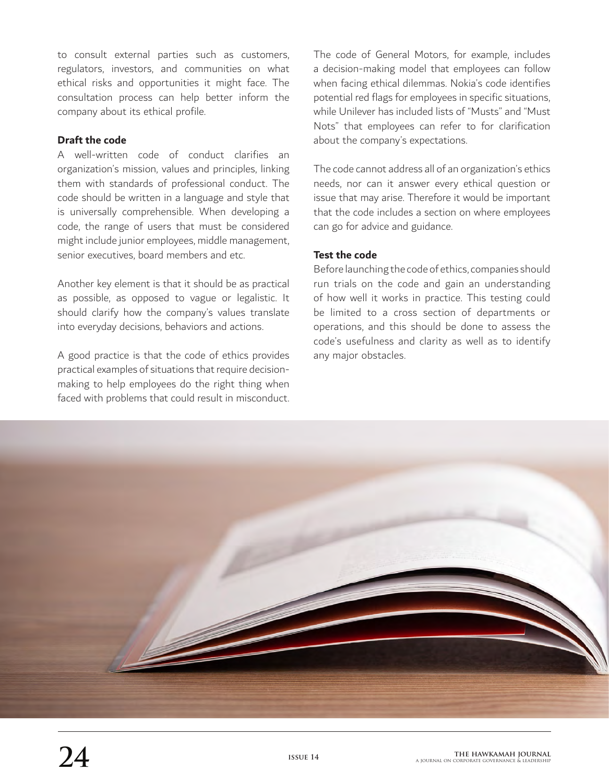to consult external parties such as customers, regulators, investors, and communities on what ethical risks and opportunities it might face. The consultation process can help better inform the company about its ethical profile.

## **Draft the code**

A well-written code of conduct clarifies an organization's mission, values and principles, linking them with standards of professional conduct. The code should be written in a language and style that is universally comprehensible. When developing a code, the range of users that must be considered might include junior employees, middle management, senior executives, board members and etc.

Another key element is that it should be as practical as possible, as opposed to vague or legalistic. It should clarify how the company's values translate into everyday decisions, behaviors and actions.

A good practice is that the code of ethics provides practical examples of situations that require decisionmaking to help employees do the right thing when faced with problems that could result in misconduct.

The code of General Motors, for example, includes a decision-making model that employees can follow when facing ethical dilemmas. Nokia's code identifies potential red flags for employees in specific situations, while Unilever has included lists of "Musts" and "Must Nots" that employees can refer to for clarification about the company's expectations.

The code cannot address all of an organization's ethics needs, nor can it answer every ethical question or issue that may arise. Therefore it would be important that the code includes a section on where employees can go for advice and guidance.

## **Test the code**

Before launching the code of ethics, companies should run trials on the code and gain an understanding of how well it works in practice. This testing could be limited to a cross section of departments or operations, and this should be done to assess the code's usefulness and clarity as well as to identify any major obstacles.